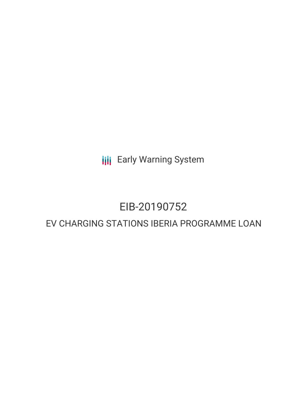**III** Early Warning System

## EIB-20190752

### EV CHARGING STATIONS IBERIA PROGRAMME LOAN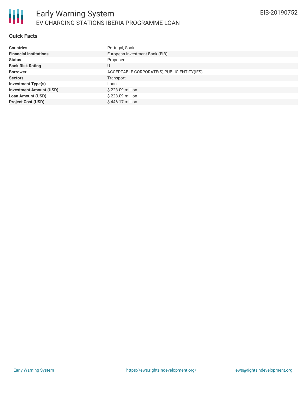#### **Quick Facts**

| <b>Countries</b>               | Portugal, Spain                             |
|--------------------------------|---------------------------------------------|
| <b>Financial Institutions</b>  | European Investment Bank (EIB)              |
| <b>Status</b>                  | Proposed                                    |
| <b>Bank Risk Rating</b>        | U                                           |
| <b>Borrower</b>                | ACCEPTABLE CORPORATE(S), PUBLIC ENTITY(IES) |
| <b>Sectors</b>                 | Transport                                   |
| <b>Investment Type(s)</b>      | Loan                                        |
| <b>Investment Amount (USD)</b> | \$223.09 million                            |
| <b>Loan Amount (USD)</b>       | \$223.09 million                            |
| <b>Project Cost (USD)</b>      | $$446.17$ million                           |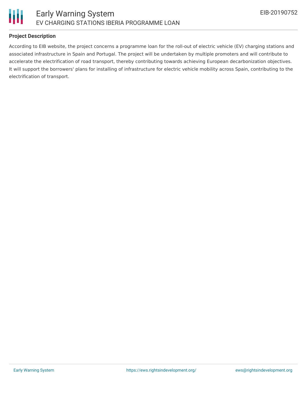

#### **Project Description**

According to EIB website, the project concerns a programme loan for the roll-out of electric vehicle (EV) charging stations and associated infrastructure in Spain and Portugal. The project will be undertaken by multiple promoters and will contribute to accelerate the electrification of road transport, thereby contributing towards achieving European decarbonization objectives. It will support the borrowers' plans for installing of infrastructure for electric vehicle mobility across Spain, contributing to the electrification of transport.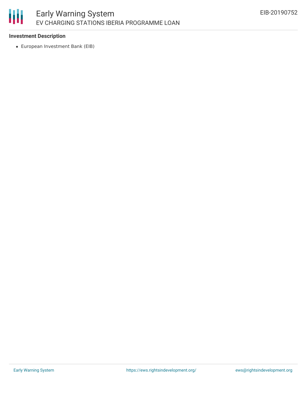#### 冊 Early Warning System EV CHARGING STATIONS IBERIA PROGRAMME LOAN

#### **Investment Description**

European Investment Bank (EIB)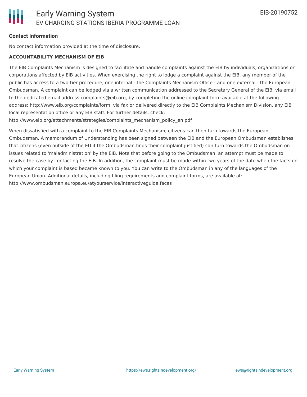#### **Contact Information**

No contact information provided at the time of disclosure.

#### **ACCOUNTABILITY MECHANISM OF EIB**

The EIB Complaints Mechanism is designed to facilitate and handle complaints against the EIB by individuals, organizations or corporations affected by EIB activities. When exercising the right to lodge a complaint against the EIB, any member of the public has access to a two-tier procedure, one internal - the Complaints Mechanism Office - and one external - the European Ombudsman. A complaint can be lodged via a written communication addressed to the Secretary General of the EIB, via email to the dedicated email address complaints@eib.org, by completing the online complaint form available at the following address: http://www.eib.org/complaints/form, via fax or delivered directly to the EIB Complaints Mechanism Division, any EIB local representation office or any EIB staff. For further details, check:

http://www.eib.org/attachments/strategies/complaints\_mechanism\_policy\_en.pdf

When dissatisfied with a complaint to the EIB Complaints Mechanism, citizens can then turn towards the European Ombudsman. A memorandum of Understanding has been signed between the EIB and the European Ombudsman establishes that citizens (even outside of the EU if the Ombudsman finds their complaint justified) can turn towards the Ombudsman on issues related to 'maladministration' by the EIB. Note that before going to the Ombudsman, an attempt must be made to resolve the case by contacting the EIB. In addition, the complaint must be made within two years of the date when the facts on which your complaint is based became known to you. You can write to the Ombudsman in any of the languages of the European Union. Additional details, including filing requirements and complaint forms, are available at: http://www.ombudsman.europa.eu/atyourservice/interactiveguide.faces